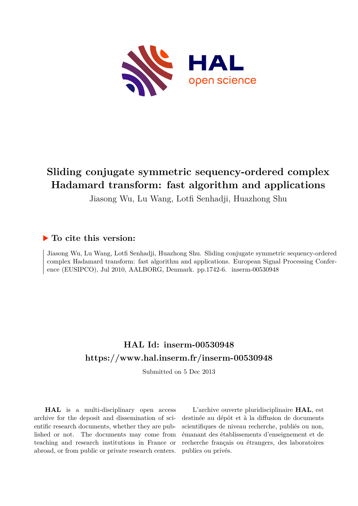

# **Sliding conjugate symmetric sequency-ordered complex Hadamard transform: fast algorithm and applications**

Jiasong Wu, Lu Wang, Lotfi Senhadji, Huazhong Shu

# **To cite this version:**

Jiasong Wu, Lu Wang, Lotfi Senhadji, Huazhong Shu. Sliding conjugate symmetric sequency-ordered complex Hadamard transform: fast algorithm and applications. European Signal Processing Conference (EUSIPCO), Jul 2010, AALBORG, Denmark. pp.1742-6. inserm-00530948

# **HAL Id: inserm-00530948 <https://www.hal.inserm.fr/inserm-00530948>**

Submitted on 5 Dec 2013

**HAL** is a multi-disciplinary open access archive for the deposit and dissemination of scientific research documents, whether they are published or not. The documents may come from teaching and research institutions in France or abroad, or from public or private research centers.

L'archive ouverte pluridisciplinaire **HAL**, est destinée au dépôt et à la diffusion de documents scientifiques de niveau recherche, publiés ou non, émanant des établissements d'enseignement et de recherche français ou étrangers, des laboratoires publics ou privés.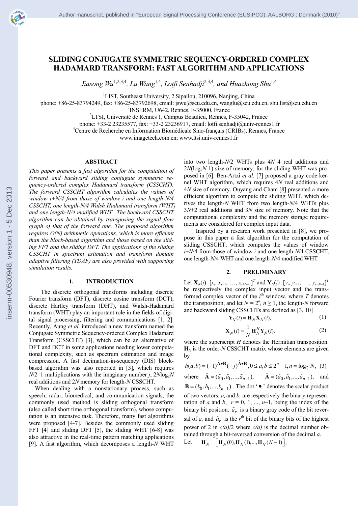[inserm-00530948,](http://www.hal.inserm.fr/inserm-00530948) [version](http://www.hal.inserm.fr/inserm-00530948) [1](http://www.hal.inserm.fr/inserm-00530948) [-](http://www.hal.inserm.fr/inserm-00530948) [5](http://www.hal.inserm.fr/inserm-00530948) [Dec](http://www.hal.inserm.fr/inserm-00530948) [2013](http://www.hal.inserm.fr/inserm-00530948)

inserm-00530948, version 1 - 5 Dec 2013

# **SLIDING CONJUGATE SYMMETRIC SEQUENCY-ORDERED COMPLEX HADAMARD TRANSFORM: FAST ALGORITHM AND APPLICATIONS**

*Jiasong Wu*1,2,3,4*, Lu Wang*1,4*, Lotfi Senhadji*2,3,4*, and Huazhong Shu*1,4

<sup>1</sup>LIST, Southeast University, 2 Sipailou, 210096, Nanjing, China

phone: +86-25-83794249, fax: +86-25-83792698, email: jswu@seu.edu.cn, wanglu@seu.edu.cn, shu.list@seu.edu.cn

 $2$ INSERM, U642, Rennes, F-35000, France

<sup>3</sup>LTSI, Université de Rennes 1, Campus Beaulieu, Rennes, F-35042, France

phone: +33-2 23235577, fax: +33-2 23236917, email: lotfi.senhadji@univ-rennes1.fr 4

Centre de Recherche en Information Biomédicale Sino-français (CRIBs), Rennes, France

www.imagetech.com.cn; www.ltsi.univ-rennes1.fr

#### **ABSTRACT**

*This paper presents a fast algorithm for the computation of forward and backward sliding conjugate symmetric sequency-ordered complex Hadamard transform (CSSCHT). The forward CSSCHT algorithm calculates the values of window i+N/4 from those of window i and one length-N/4 CSSCHT, one length-N/4 Walsh Hadamard transform (WHT) and one length-N/4 modified WHT. The backward CSSCHT algorithm can be obtained by transposing the signal flow graph of that of the forward one. The proposed algorithm requires O(N) arithmetic operations, which is more efficient than the block-based algorithm and those based on the sliding FFT and the sliding DFT. The applications of the sliding CSSCHT in spectrum estimation and transform domain adaptive filtering (TDAF) are also provided with supporting simulation results.* 

#### **1. INTRODUCTION**

The discrete orthogonal transforms including discrete Fourier transform (DFT), discrete cosine transform (DCT), discrete Hartley transform (DHT), and Walsh-Hadamard transform (WHT) play an important role in the fields of digital signal processing, filtering and communications [1, 2]. Recently, Aung *et al*. introduced a new transform named the Conjugate Symmetric Sequency-ordered Complex Hadamard Transform (CSSCHT) [3], which can be an alternative of DFT and DCT in some applications needing lower computational complexity, such as spectrum estimation and image compression. A fast decimation-in-sequency (DIS) blockbased algorithm was also reported in [3], which requires  $N/2-1$  multiplications with the imaginary number *j*,  $2N\log_2N$ real additions and 2*N* memory for length-*N* CSSCHT.

When dealing with a nonstationary process, such as speech, radar, biomedical, and communication signals, the commonly used method is sliding orthogonal transform (also called short time orthogonal transform), whose computation is an intensive task. Therefore, many fast algorithms were proposed [4-7]. Besides the commonly used sliding FFT [4] and sliding DFT [5], the sliding WHT [6-8] was also attractive in the real-time pattern matching applications [9]. A fast algorithm, which decomposes a length-*N* WHT

into two length-*N*/2 WHTs plus 4*N*–4 real additions and  $2N(\log_2 N-1)$  size of memory, for the sliding WHT was proposed in [6]. Ben-Artzi *et al.* [7] proposed a gray code kernel WHT algorithm, which requires 4*N* real additions and 4*N* size of memory. Ouyang and Cham [8] presented a more efficient algorithm to compute the sliding WHT, which derives the length-*N* WHT from two length-*N*/4 WHTs plus 3*N*+2 real additions and 3*N* size of memory. Note that the computational complexity and the memory storage requirements are considered for complex input data.

Inspired by a research work presented in [8], we propose in this paper a fast algorithm for the computation of sliding CSSCHT, which computes the values of window *i*+*N*/4 from those of window *i* and one length-*N*/4 CSSCHT, one length-*N*/4 WHT and one length-*N*/4 modified WHT.

## **2. PRELIMINARY**

Let  $\mathbf{X}_N(i) = [x_i, x_{i+1}, \dots, x_{i+N-1}]^T$  and  $\mathbf{Y}_N(i) = [y_i, y_{i+1}, \dots, y_{i+N-1}]^T$ be respectively the complex input vector and the transformed complex vector of the  $i^{\text{th}}$  window, where  $T$  denotes the transposition, and let  $N = 2^n$ ,  $n \ge 1$ , the length-*N* forward and backward sliding CSSCHTs are defined as [3, 10]

$$
\mathbf{Y}_N(i) = \mathbf{H}_N \mathbf{X}_N(i),\tag{1}
$$

$$
\mathbf{X}_N(i) = \frac{1}{N} \mathbf{H}_N^H \mathbf{Y}_N(i),\tag{2}
$$

where the superscript *H* denotes the Hermitian transposition.  $\mathbf{H}_N$  is the order-*N* CSSCHT matrix whose elements are given by

$$
h(a,b) = (-1)^{\tilde{A} \cdot B} (-j)^{\hat{A} \cdot B}, 0 \le a, b \le 2^n - 1, n = \log_2 N, (3)
$$
  
where  $\tilde{A} = (\tilde{a}_0, \tilde{a}_1, ..., \tilde{a}_{n-1}), \quad \hat{A} = (\hat{a}_0, \hat{a}_1, ..., \hat{a}_{n-1}),$  and  
 $B = (b_0, b_1, ..., b_{n-1}).$  The dot ' $\bullet$ ' denotes the scalar product

 $(v_0, b_1, ..., b_{n-1})$ of two vectors.  $a_r$  and  $b_r$  are respectively the binary representation of *a* and *b*,  $r = 0, 1, ..., n-1$ , being the index of the binary bit position.  $\tilde{a}_r$  is a binary gray code of the bit reversal of  $a_r$  and  $\hat{a}_r$  is the  $r^{\text{th}}$  bit of the binary bits of the highest power of 2 in  $c(a)/2$  where  $c(a)$  is the decimal number obtained through a bit-reversed conversion of the decimal *a*.

$$
\mathbf{Let} \qquad \mathbf{H}_N = \left[ \mathbf{H}_N(0), \mathbf{H}_N(1), \dots, \mathbf{H}_N(N-1) \right],
$$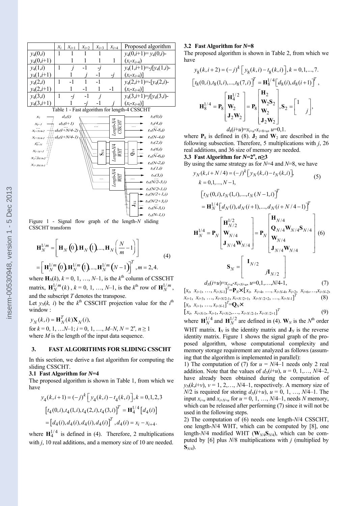

 $t<sub>N</sub>(N-4,i)$ 

 $t_N(2,i)$ 

 $\begin{array}{c} Length\text{-}N/4 \\ WHT \end{array}$  $t_N(6,i)$  $Q_{\delta\Omega}$  $\chi_{i+N+1}$  $S_{\text{M1}}$  $t_N(\dddot{N-6}, i)$  $x_{i+5}$  $t_2(N-2 i)$  $t_N(1,i)$ Length-N/4<br>WHT  $t_N(3,i)$  $t_N(N/2-3,i)$  $t_v(N/2-1,i)$  $t_v(N/2+1,i)$  $t_N(N/2+3,i)$  $\mathbf{J}_{\text{M}}$  $t_N(N-3,i)$  $t_N(N-1,i)$ 

 $d_2(i+N/4-1)$ 

 $x_{i+N/4-i}$ 

 $\mathbf{x}$   $\mathbf{x}$ 

Figure 1 - Signal flow graph of the length-*N* sliding CSSCHT transform

$$
\mathbf{H}_{N}^{1/m} = \left[ \mathbf{H}_{N} \left( 0 \right) \mathbf{H}_{N} \left( 1 \right) \dots, \mathbf{H}_{N} \left( \frac{N}{m} - 1 \right) \right]
$$
\n
$$
= \left[ \mathbf{H}_{N}^{1/m} \left( 0 \right) \mathbf{H}_{N}^{1/m} \left( 1 \right) \dots, \mathbf{H}_{N}^{1/m} \left( N - 1 \right) \right]^{T}, m = 2, 4.
$$
\n(4)

where  $\mathbf{H}_N(k)$ ,  $k = 0, 1, ..., N-1$ , is the  $k^{\text{th}}$  column of CSSCHT matrix,  $\mathbf{H}_{N}^{1/m}(k)$ ,  $k = 0, 1, ..., N-1$ , is the  $k^{\text{th}}$  row of  $\mathbf{H}_{N}^{1/m}$ , and the subscript *T* denotes the transpose.

Let  $y_N(k, i)$  be the  $k^{\text{th}}$  CSSCHT projection value for the  $i^{\text{th}}$ window :

 $y_N(k,i) = \mathbf{H}_N^T(k)\mathbf{X}_N(i),$ for  $k = 0, 1, \ldots N-1$ ;  $i = 0, 1, \ldots, M-N$ ,  $N = 2^n, n \ge 1$ where *M* is the length of the input data sequence.

## **3. FAST ALGORITHMS FOR SLIDING CSSCHT**

In this section, we derive a fast algorithm for computing the sliding CSSCHT.

#### **3.1 Fast Algorithm for** *N***=4**

The proposed algorithm is shown in Table 1, from which we have

$$
y_4(k, i+1) = (-j)^k \left[ y_4(k, i) - t_4(k, i) \right], k = 0, 1, 2, 3
$$

$$
\left[ t_4(0, i), t_4(1, i), t_4(2, i), t_4(3, i) \right]^T = \mathbf{H}_4^{1/4} \left[ d_4(i) \right]
$$

$$
= \left[ d_4(i), d_4(i), d_4(i), d_4(i) \right]^T, d_4(i) = x_i - x_{i+4}.
$$

where  $H_4^{1/4}$  is defined in (4). Therefore, 2 multiplications with *i*, 10 real additions, and a memory size of 10 are needed.

#### **3.2 Fast Algorithm for** *N***=8**

The proposed algorithm is shown in Table 2, from which we have

$$
y_{8}(k, i+2) = (-j)^{k} \left[ y_{8}(k, i) - t_{8}(k, i) \right], k = 0, 1, ..., 7.
$$
  
\n
$$
\left[ t_{8}(0, i), t_{8}(1, i), ..., t_{8}(7, i) \right]^{T} = \mathbf{H}_{8}^{1/4} \left[ d_{8}(i), d_{8}(i+1) \right]^{T},
$$
  
\n
$$
\mathbf{H}_{8}^{1/4} = \mathbf{P}_{8} \begin{bmatrix} \mathbf{H}_{4}^{1/2} \\ \mathbf{W}_{2} \\ \mathbf{J}_{2} \mathbf{W}_{2} \end{bmatrix} = \mathbf{P}_{8} \begin{bmatrix} \mathbf{H}_{2} \\ \mathbf{W}_{2} \mathbf{S}_{2} \\ \mathbf{W}_{2} \\ \mathbf{J}_{2} \mathbf{W}_{2} \end{bmatrix}, \mathbf{S}_{2} = \begin{bmatrix} 1 \\ i \end{bmatrix},
$$
  
\n
$$
d_{8}(i+u) = x_{i+u} - x_{i+8+u}, u = 0, 1.
$$

where  $P_8$  is defined in (8).  $J_2$  and  $W_2$  are described in the following subsection. Therefore, 5 multiplications with *j*, 26 real additions, and 36 size of memory are needed. **3.3** Fast Algorithm for  $N=2^n$ ,  $n\geq 3$ 

By using the same strategy as for *N*=4 and *N*=8, we have

$$
y_N(k, i + N/4) = (-j)^k [y_N(k, i) - t_N(k, i)],
$$
\n
$$
k = 0, 1, ..., N - 1,
$$
\n
$$
[t_N(0, i), t_N(1, i), ..., t_N(N - 1, i)]^T
$$
\n
$$
= \mathbf{H}_N^{1/4} [d_N(i), d_N(i + 1), ..., d_N(i + N/4 - 1)]^T
$$
\n
$$
\mathbf{H}_N^{1/4} = \mathbf{P}_N \begin{bmatrix} \mathbf{H}_{N/2}^{1/2} \\ \mathbf{W}_{N/4} \\ \mathbf{J}_{N/4} \mathbf{W}_{N/4} \end{bmatrix} = \mathbf{P}_N \begin{bmatrix} \mathbf{H}_{N/4} \\ \mathbf{Q}_{N/4} \mathbf{W}_{N/4} \mathbf{S}_{N/4} \\ \mathbf{W}_{N/4} \\ \mathbf{J}_{N/4} \mathbf{W}_{N/4} \end{bmatrix} (6)
$$
\n
$$
\mathbf{S}_N = \begin{bmatrix} \mathbf{I}_{N/2} \\ t_{N/2} \\ \mathbf{J}_{N/2} \end{bmatrix}
$$
\n
$$
d_N(i + u) = x_{i+u} - x_{i+N+u}, u = 0, 1, ..., N/4 - 1,
$$
\n(7)

$$
\begin{aligned}\n[x_i, \; x_{i+1}, \; \ldots, \; x_{i+N-1}]^T &= \mathbf{P}_N \times [x_i, \; x_{i+4}, \; \ldots, \; x_{i+N-4}, \; x_{i+2}, \; x_{i+6}, \ldots, x_{i+N-2}, \\
x_{i+1}, \; x_{i+3}, \; \ldots, \; x_{i+N/2-1}, \; x_{i+N/2+1}, \; x_{i+N/2+2}, \; \ldots, \; x_{i+N-1}]^T\n\end{aligned}\n\tag{8}
$$

$$
\begin{bmatrix} x_i, x_{i+N-1}, x_{i+1}, x_{i+N-2}, \dots, x_{i+N/2-1}, x_{i+N/2+1} \end{bmatrix}^T
$$
 (9)

where  $\mathbf{H}_{N}^{1/4}$  and  $\mathbf{H}_{N}^{1/2}$  are defined in (4).  $\mathbf{W}_{N}$  is the  $N^{\text{th}}$  order WHT matrix.  $I_N$  is the identity matrix and  $J_N$  is the reverse identity matrix. Figure 1 shows the signal graph of the proposed algorithm, whose computational complexity and memory storage requirement are analyzed as follows (assuming that the algorithm is implemented in parallel):

1) The computation of (7) for  $u = N/4-1$  needs only 2 real addition. Note that the values of  $d<sub>N</sub>(i+*u*), u = 0, 1,..., N/4-2$ , have already been obtained during the computation of  $y_N(k,i+v)$ ,  $v = 1, 2,..., N/4-1$ , respectively. A memory size of *N*/2 is required for storing  $d_N(i+u)$ ,  $u = 0, 1, ..., N/4-1$ . The input  $x_{i+u}$  and  $x_{i+N+u}$  for  $u = 0, 1, ..., N/4-1$ , needs *N* memory, which can be released after performing (7) since it will not be used in the following steps.

2) The computation of (6) needs one length-*N*/4 CSSCHT, one length-*N*/4 WHT, which can be computed by [8], one length-*N*/4 modified WHT (**W***N/*4**S***N*/4), which can be computed by [6] plus *N*/8 multiplications with *j* (multiplied by **S***N*/4).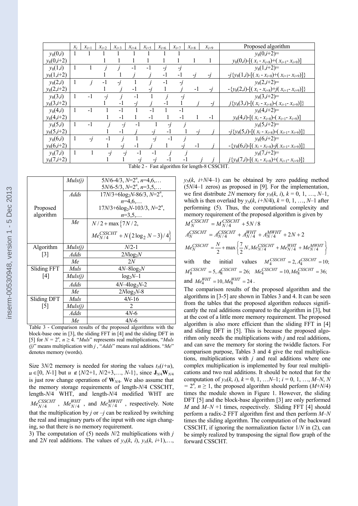|                                               | $\mathcal{X}_i$ | $x_{i+1}$ | $x_{i+2}$ | $x_{i+3}$ | $x_{i+4}$ | $x_{i+5}$ | $x_{i+6}$ | $x_{i+7}$      | $x_{i+8}$ | $x_{i+9}$ |  | Proposed algorithm                                            |  |  |  |  |
|-----------------------------------------------|-----------------|-----------|-----------|-----------|-----------|-----------|-----------|----------------|-----------|-----------|--|---------------------------------------------------------------|--|--|--|--|
| $y_8(0,i)$                                    |                 |           |           |           |           |           |           |                |           |           |  | $y_8(0,i+2)=$                                                 |  |  |  |  |
| $y_8(0,i+2)$                                  |                 |           |           |           |           |           |           |                |           |           |  | $y_8(0,i)$ -[( $x_i - x_{i+8}$ )+( $x_{i+1} - x_{i+9}$ )]     |  |  |  |  |
| $y_8(1,i)$                                    |                 |           |           |           | $-1$      | $-1$      | -İ        | $\overline{J}$ |           |           |  | $y_8(1,i+2)=$                                                 |  |  |  |  |
| $y_8(1,i+2)$                                  |                 |           |           |           |           |           | $-1$      | $-1$           | -1        | -1        |  | $-j\{y_8(1,i) - [(x_i - x_{i+8}) + (x_{i+1} - x_{i+9})]\}$    |  |  |  |  |
| $y_8(2,i)$                                    |                 |           | $-1$      | -1        |           |           | -1        | $-1$           |           |           |  | $v_8(2,i+2)=$                                                 |  |  |  |  |
| $y_8(2,i+2)$                                  |                 |           |           |           | -1        |           |           |                | $-1$      |           |  | $-\{y_8(2,i) - [(x_i - x_{i+8}) + j(x_{i+1} - x_{i+9})]\}$    |  |  |  |  |
| $y_8(3,i)$                                    | 1               | $-1$      | -1        |           | $-1$      |           |           |                |           |           |  | $y_8(3,i+2)=$                                                 |  |  |  |  |
| $y_8(3,i+2)$                                  |                 |           |           | -1        |           |           | -1        |                |           |           |  | $j\{y_8(3,i)$ -[( $x_i - x_{i+8}$ )-( $x_{i+1} - x_{i+9}$ )]} |  |  |  |  |
| $y_8(4,i)$                                    |                 | $-1$      |           | $-1$      |           | $-1$      |           | $-1$           |           |           |  | $y_8(4,i+2)=$                                                 |  |  |  |  |
| $y_8(4,i+2)$                                  |                 |           |           | $-1$      |           | $-1$      |           | -1             |           | $-1$      |  | $y_8(4,i)$ -[( $x_i - x_{i+8}$ )-( $x_{i+1} - x_{i+9}$ )]     |  |  |  |  |
| $y_8(5,i)$                                    |                 | $-1$      |           | -j        | $-1$      |           |           |                |           |           |  | $y_8(5,i+2)=$                                                 |  |  |  |  |
| $y_8(5,i+2)$                                  |                 |           |           | $-1$      |           | -1        | $-1$      |                |           |           |  | $-j\{y_8(5,i) - [(x_i - x_{i+8}) - (x_{i+1} - x_{i+9})]\}$    |  |  |  |  |
| $y_8(6,i)$                                    |                 | $-i$      | - 1       |           |           |           | $-1$      |                |           |           |  | $y_8(6,i+2)=$                                                 |  |  |  |  |
| $y_8(6,i+2)$                                  |                 |           |           |           | $-1$      |           |           |                | $-1$      |           |  | $-\{y_8(6,i) - [(x_i - x_{i+8}) - j(x_{i+1} - x_{i+9})]\}$    |  |  |  |  |
| $y_8(7,i)$                                    |                 |           | -1        | -1        | $-1$      | -1        |           |                |           |           |  | $v_8(7,i+2)=$                                                 |  |  |  |  |
| $y_8(7,i+2)$                                  |                 |           |           |           |           |           |           |                |           |           |  | $j\{y_8(7,i)$ -[( $x_i - x_{i+8}$ )+( $x_{i+1} - x_{i+9}$ )]} |  |  |  |  |
| Table 2 - Fast algorithm for length-8 CSSCHT. |                 |           |           |           |           |           |           |                |           |           |  |                                                               |  |  |  |  |

|                                                                    | Muls(j) | $5N/6-4/3$ , $N=2^n$ , $n=4,6,$             |  |  |  |  |  |  |  |
|--------------------------------------------------------------------|---------|---------------------------------------------|--|--|--|--|--|--|--|
|                                                                    |         | $5N/6-5/3$ , $N=2^n$ , $n=3,5,$             |  |  |  |  |  |  |  |
|                                                                    | Adds    | $17N/3+6\log_2N-86/3, N=2^n$                |  |  |  |  |  |  |  |
|                                                                    |         | $n=4,6,$                                    |  |  |  |  |  |  |  |
| Proposed                                                           |         | $17N/3 + 6\log_2 N - 103/3$ , $N=2^n$ ,     |  |  |  |  |  |  |  |
| algorithm                                                          |         | $n=3,5,$                                    |  |  |  |  |  |  |  |
|                                                                    | Мe      | $N/2 + \max\{7N/2,$                         |  |  |  |  |  |  |  |
|                                                                    |         | $Me^{CSSCHT}_{N/4}$ + $N(2 \log_2 N - 3)/4$ |  |  |  |  |  |  |  |
| Algorithm                                                          | Muls(j) | $N/2-1$                                     |  |  |  |  |  |  |  |
| $\lceil 3 \rceil$                                                  | Adds    | $2Nlog_2N$                                  |  |  |  |  |  |  |  |
|                                                                    | Мe      | 2N                                          |  |  |  |  |  |  |  |
| Sliding FFT                                                        | Muls    | $4N-8\log_2N$                               |  |  |  |  |  |  |  |
| [4]                                                                | Muls(j) | $log_2N-1$                                  |  |  |  |  |  |  |  |
|                                                                    | Adds    | $4N-4\log_2N-2$                             |  |  |  |  |  |  |  |
|                                                                    | Мe      | $2Mog2N-8$                                  |  |  |  |  |  |  |  |
| <b>Sliding DFT</b>                                                 | Muls    | $4N-16$                                     |  |  |  |  |  |  |  |
| $[5]$                                                              | Muls(j) | 2                                           |  |  |  |  |  |  |  |
|                                                                    | Adds    | $4N-6$                                      |  |  |  |  |  |  |  |
|                                                                    | Мe      | 4N-6                                        |  |  |  |  |  |  |  |
| $Table 3 - Comparison$ results of the proposed algorithms with the |         |                                             |  |  |  |  |  |  |  |

on results of the block-base one in [3], the sliding FFT in [4] and the sliding DFT in [5] for  $N = 2^n$ ,  $n \geq 4$ . "*Muls*" represents real multiplications, "*Muls (j)*" means multiplication with *j* , "*Adds*" means real additions. "*Me*" denotes memory (words).

Size  $3N/2$  memory is needed for storing the values  $t<sub>N</sub>(i+u)$ , *u* ∈[0, *N*-1] but *u* ∉ {*N*/2+1, *N*/2+3,…, *N*-1}, since **J**<sub>*N*/4</sub>**W**<sub>*N*/4</sub> is just row change operations of **W***N/*4. We also assume that the memory storage requirements of length-*N*/4 CSSCHT, length-*N*/4 WHT, and length-*N*/4 modified WHT are  $Me_{N/4}^{CSSCHT}$ ,  $Me_{N/4}^{WHT}$ , and  $Me_{N/4}^{MWHT}$ , respectively. Note that the multiplication by *j* or  $-j$  can be realized by switching the real and imaginary parts of the input with one sign changing, so that there is no memory requirement.

3) The computation of (5) needs *N*/2 multiplications with *j*  and 2*N* real additions. The values of  $y_N(k, i)$ ,  $y_N(k, i+1)$ ,…,  $y_N(k, i+N/4-1)$  can be obtained by zero padding method (5*N*/4–1 zeros) as proposed in [9]. For the implementation, we first distribute 2N memory for  $y_N(k, i)$ ,  $k = 0, 1, ..., N-1$ , which is then overlaid by  $y_N(k, i+1/N/4)$ ,  $k = 0, 1, ..., N-1$  after performing (5). Thus, the computational complexity and memory requirement of the proposed algorithm is given by

$$
M_N^{CSSCHT} = M_{N/4}^{CSSCHT} + 5N/8
$$
  
\n
$$
A_N^{CSSCHT} = A_{N/4}^{CSSCHT} + A_{N/4}^{WHT} + A_{N/4}^{WHT} + 2N + 2
$$
  
\n
$$
Me_N^{CSSCHT} = \frac{N}{2} + \max \left\{ \frac{7}{2} N, Me_{N/4}^{CSSCHT} + Me_{N/4}^{WHT} + Me_{N/4}^{WHT} \right\}
$$
  
\nwith the initial values  $M_4^{CSSCHT} = 2, A_4^{CSSCHT} = 10;$   
\n
$$
M_8^{CSSCHT} = 5, A_8^{CSSCHT} = 26; Me_4^{CSSCHT} = 10, Me_8^{CSSCHT} = 36;
$$

and 
$$
Me_4^{WHT} = 10, Me_8^{WHT} = 24
$$
.

The comparison results of the proposed algorithm and the algorithms in [3-5] are shown in Tables 3 and 4. It can be seen from the tables that the proposed algorithm reduces significantly the real additions compared to the algorithm in [3], but at the cost of a little more memory requirement. The proposed algorithm is also more efficient than the sliding FFT in [4] and sliding DFT in [5]. This is because the proposed algorithm only needs the multiplications with *j* and real additions, and can save the memory for storing the twiddle factors. For comparison purpose, Tables 3 and 4 give the real multiplications, multiplications with *j* and real additions where one complex multiplication is implemented by four real multiplications and two real additions. It should be noted that for the computation of  $y_N(k, i)$ ,  $k = 0, 1, \ldots N-1$ ;  $i = 0, 1, \ldots, M-N, N$  $= 2^n$ ,  $n \ge 1$ , the proposed algorithm should perform  $(M+N/4)$ times the module shown in Figure 1. However, the sliding DFT [5] and the block-base algorithm [3] are only performed *M* and *M*–*N* +1 times, respectively. Sliding FFT [4] should perform a radix-2 FFT algorithm first and then perform *M*–*N* times the sliding algorithm. The computation of the backward CSSCHT, if ignoring the normalization factor 1/*N* in (2), can be simply realized by transposing the signal flow graph of the forward CSSCHT.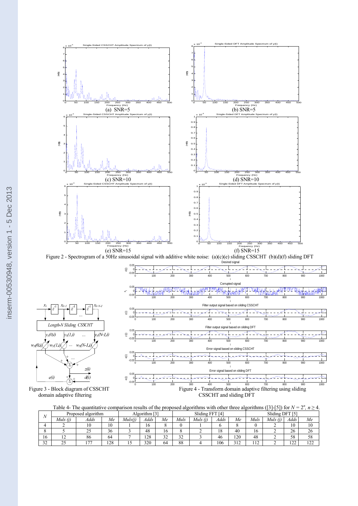

 $w_{\rm A}(0,i)$ 

Figure 3 - Block diagram of CSSCHT Figure 4 - Transform domain adaptive filtering using sliding CSSCHT and sliding DFT CSSCHT and sliding DFT

|  |  |  | Table 4- The quantitative comparison results of the proposed algorithms with other three algorithms ([3]-[5]) for $N = 2^n$ , $n \ge 4$ . |
|--|--|--|-------------------------------------------------------------------------------------------------------------------------------------------|
|  |  |  |                                                                                                                                           |
|  |  |  |                                                                                                                                           |

| $\sqrt{ }$   | Proposed algorithm | ro-<br>Algorithm |     |        |      | Sliding FF    | EFTI4'              |         | Sliding DFT |            |               |             |                    |             |
|--------------|--------------------|------------------|-----|--------|------|---------------|---------------------|---------|-------------|------------|---------------|-------------|--------------------|-------------|
|              | Muls (j)           | Adds             | Me  | Muls(i | Adds | Me            | Muls                | Muls(i) | Adds        | Me         | Muls          | Muls<br>(i) | Adds               | Мe          |
|              |                    |                  | 10  |        | 16   |               |                     |         |             |            |               |             | $\sim$<br>19.      | 10          |
|              |                    | <u>.</u>         | 36  |        | 48   | 16            |                     |         | 18          | 40         | 16            |             | 26                 | 26          |
| 16           | ∸                  | ōΟ               | 64  |        | 128  | $\sim$<br>ے ر | $\mathbf{A}$<br>ے ر |         | 46          | 120        | 48            |             | $\epsilon$ o<br>эŏ | 58          |
| $\sim$<br>32 | $\sim$ $\sim$      | $-$              | 128 | "      | 320  | 64            | $^{oo}$<br>ōδ       |         | 106         | 312<br>ے د | 12<br>$\perp$ |             | $\sim$<br>∸∸       | 1.22<br>--- |